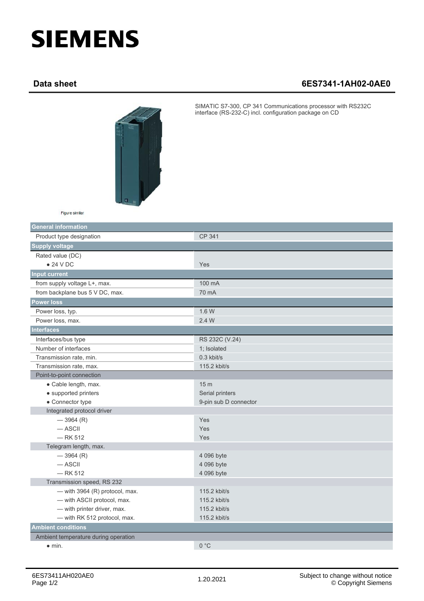## **SIEMENS**

## **Data sheet 6ES7341-1AH02-0AE0**



SIMATIC S7-300, CP 341 Communications processor with RS232C interface (RS-232-C) incl. configuration package on CD

Figure similar

| <b>General information</b>           |                       |
|--------------------------------------|-----------------------|
| Product type designation             | CP 341                |
| <b>Supply voltage</b>                |                       |
| Rated value (DC)                     |                       |
| $\bullet$ 24 V DC                    | Yes                   |
| <b>Input current</b>                 |                       |
| from supply voltage L+, max.         | 100 mA                |
| from backplane bus 5 V DC, max.      | 70 mA                 |
| <b>Power loss</b>                    |                       |
| Power loss, typ.                     | 1.6W                  |
| Power loss, max.                     | 2.4 W                 |
| <b>Interfaces</b>                    |                       |
| Interfaces/bus type                  | RS 232C (V.24)        |
| Number of interfaces                 | 1; Isolated           |
| Transmission rate, min.              | 0.3 kbit/s            |
| Transmission rate, max.              | 115.2 kbit/s          |
| Point-to-point connection            |                       |
| • Cable length, max.                 | 15 <sub>m</sub>       |
| • supported printers                 | Serial printers       |
| • Connector type                     | 9-pin sub D connector |
| Integrated protocol driver           |                       |
| $-3964(R)$                           | Yes                   |
| $-$ ASCII                            | Yes                   |
| $-$ RK 512                           | Yes                   |
| Telegram length, max.                |                       |
| $-3964(R)$                           | 4 096 byte            |
| $-$ ASCII                            | 4 096 byte            |
| $-$ RK 512                           | 4 096 byte            |
| Transmission speed, RS 232           |                       |
| - with 3964 (R) protocol, max.       | 115.2 kbit/s          |
| - with ASCII protocol, max.          | 115.2 kbit/s          |
| - with printer driver, max.          | 115.2 kbit/s          |
| - with RK 512 protocol, max.         | 115.2 kbit/s          |
| <b>Ambient conditions</b>            |                       |
| Ambient temperature during operation |                       |
| $\bullet$ min.                       | 0 °C                  |